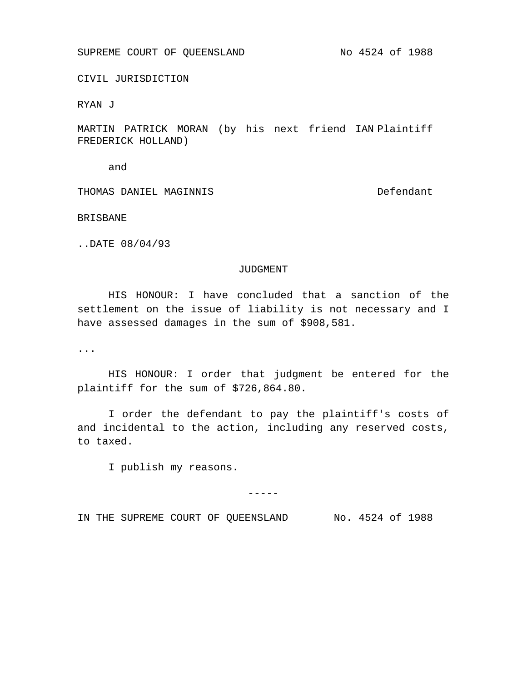SUPREME COURT OF QUEENSLAND No 4524 of 1988

CIVIL JURISDICTION

RYAN J

MARTIN PATRICK MORAN (by his next friend IAN Plaintiff FREDERICK HOLLAND)

and

THOMAS DANIEL MAGINNIS Defendant

BRISBANE

..DATE 08/04/93

## JUDGMENT

HIS HONOUR: I have concluded that a sanction of the settlement on the issue of liability is not necessary and I have assessed damages in the sum of \$908,581.

...

HIS HONOUR: I order that judgment be entered for the plaintiff for the sum of \$726,864.80.

I order the defendant to pay the plaintiff's costs of and incidental to the action, including any reserved costs, to taxed.

I publish my reasons.

-----

IN THE SUPREME COURT OF QUEENSLAND No. 4524 of 1988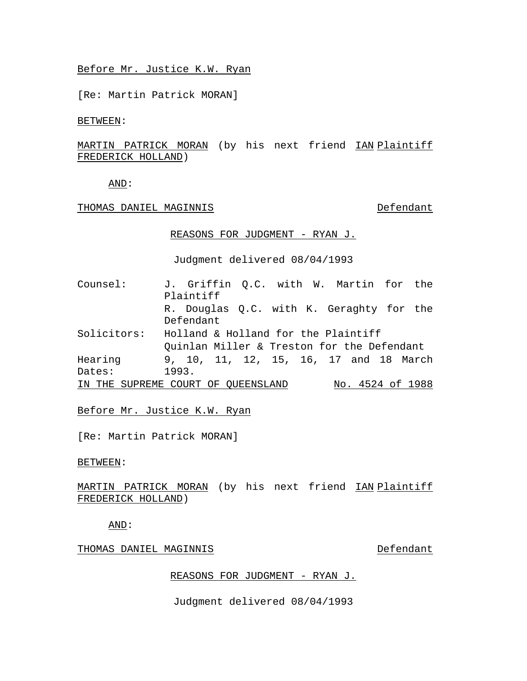## Before Mr. Justice K.W. Ryan

[Re: Martin Patrick MORAN]

BETWEEN:

## <u>MARTIN PATRICK MORAN</u> (by his next friend <u>IAN-Plaintiff</u> FREDERICK HOLLAND)

AND:

THOMAS DANIEL MAGINNIS DESERVIT DEFENDANT

REASONS FOR JUDGMENT - RYAN J.

Judgment delivered 08/04/1993

| Counsel:    | J. Griffin Q.C. with W. Martin for the     |                  |
|-------------|--------------------------------------------|------------------|
|             | Plaintiff                                  |                  |
|             | R. Douglas Q.C. with K. Geraghty for the   |                  |
|             | Defendant                                  |                  |
| Solicitors: | Holland & Holland for the Plaintiff        |                  |
|             | Quinlan Miller & Treston for the Defendant |                  |
| Hearing     | 9, 10, 11, 12, 15, 16, 17 and 18 March     |                  |
| Dates:      | 1993.                                      |                  |
|             | IN THE SUPREME COURT OF QUEENSLAND         | No. 4524 of 1988 |

Before Mr. Justice K.W. Ryan

[Re: Martin Patrick MORAN]

BETWEEN:

<u>MARTIN PATRICK MORAN</u> (by his next friend <u>IAN-Plaintiff</u> FREDERICK HOLLAND)

AND:

THOMAS DANIEL MAGINNIS DESERT DEFENDANT

## REASONS FOR JUDGMENT - RYAN J.

Judgment delivered 08/04/1993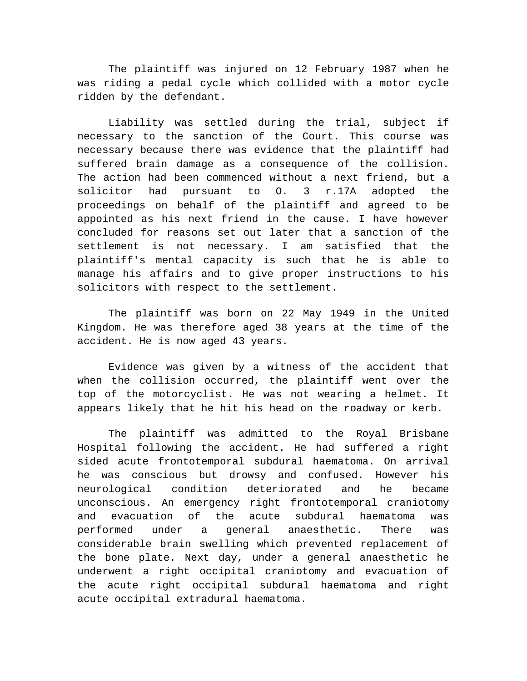The plaintiff was injured on 12 February 1987 when he was riding a pedal cycle which collided with a motor cycle ridden by the defendant.

Liability was settled during the trial, subject if necessary to the sanction of the Court. This course was necessary because there was evidence that the plaintiff had suffered brain damage as a consequence of the collision. The action had been commenced without a next friend, but a solicitor had pursuant to O. 3 r.17A adopted the proceedings on behalf of the plaintiff and agreed to be appointed as his next friend in the cause. I have however concluded for reasons set out later that a sanction of the settlement is not necessary. I am satisfied that the plaintiff's mental capacity is such that he is able to manage his affairs and to give proper instructions to his solicitors with respect to the settlement.

The plaintiff was born on 22 May 1949 in the United Kingdom. He was therefore aged 38 years at the time of the accident. He is now aged 43 years.

Evidence was given by a witness of the accident that when the collision occurred, the plaintiff went over the top of the motorcyclist. He was not wearing a helmet. It appears likely that he hit his head on the roadway or kerb.

The plaintiff was admitted to the Royal Brisbane Hospital following the accident. He had suffered a right sided acute frontotemporal subdural haematoma. On arrival he was conscious but drowsy and confused. However his neurological condition deteriorated and he became unconscious. An emergency right frontotemporal craniotomy and evacuation of the acute subdural haematoma was performed under a general anaesthetic. There was considerable brain swelling which prevented replacement of the bone plate. Next day, under a general anaesthetic he underwent a right occipital craniotomy and evacuation of the acute right occipital subdural haematoma and right acute occipital extradural haematoma.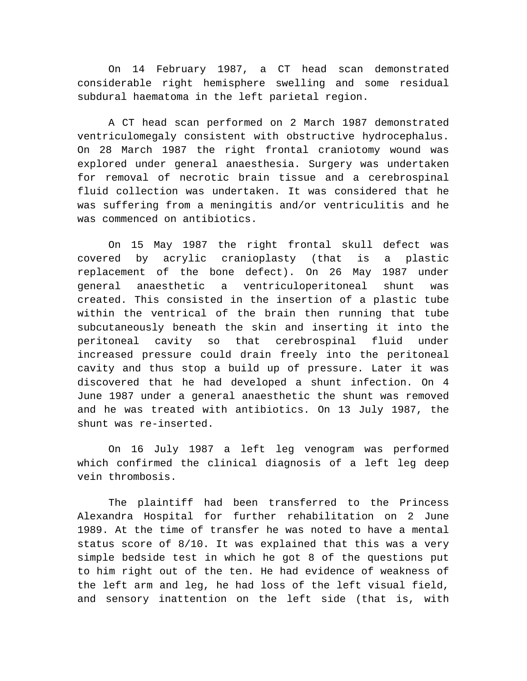On 14 February 1987, a CT head scan demonstrated considerable right hemisphere swelling and some residual subdural haematoma in the left parietal region.

A CT head scan performed on 2 March 1987 demonstrated ventriculomegaly consistent with obstructive hydrocephalus. On 28 March 1987 the right frontal craniotomy wound was explored under general anaesthesia. Surgery was undertaken for removal of necrotic brain tissue and a cerebrospinal fluid collection was undertaken. It was considered that he was suffering from a meningitis and/or ventriculitis and he was commenced on antibiotics.

On 15 May 1987 the right frontal skull defect was covered by acrylic cranioplasty (that is a plastic replacement of the bone defect). On 26 May 1987 under general anaesthetic a ventriculoperitoneal shunt was created. This consisted in the insertion of a plastic tube within the ventrical of the brain then running that tube subcutaneously beneath the skin and inserting it into the peritoneal cavity so that cerebrospinal fluid under increased pressure could drain freely into the peritoneal cavity and thus stop a build up of pressure. Later it was discovered that he had developed a shunt infection. On 4 June 1987 under a general anaesthetic the shunt was removed and he was treated with antibiotics. On 13 July 1987, the shunt was re-inserted.

On 16 July 1987 a left leg venogram was performed which confirmed the clinical diagnosis of a left leg deep vein thrombosis.

The plaintiff had been transferred to the Princess Alexandra Hospital for further rehabilitation on 2 June 1989. At the time of transfer he was noted to have a mental status score of 8/10. It was explained that this was a very simple bedside test in which he got 8 of the questions put to him right out of the ten. He had evidence of weakness of the left arm and leg, he had loss of the left visual field, and sensory inattention on the left side (that is, with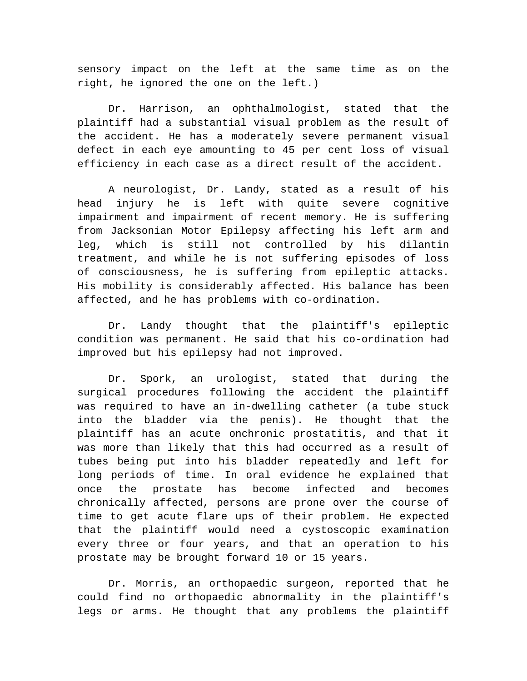sensory impact on the left at the same time as on the right, he ignored the one on the left.)

Dr. Harrison, an ophthalmologist, stated that the plaintiff had a substantial visual problem as the result of the accident. He has a moderately severe permanent visual defect in each eye amounting to 45 per cent loss of visual efficiency in each case as a direct result of the accident.

A neurologist, Dr. Landy, stated as a result of his head injury he is left with quite severe cognitive impairment and impairment of recent memory. He is suffering from Jacksonian Motor Epilepsy affecting his left arm and leg, which is still not controlled by his dilantin treatment, and while he is not suffering episodes of loss of consciousness, he is suffering from epileptic attacks. His mobility is considerably affected. His balance has been affected, and he has problems with co-ordination.

Dr. Landy thought that the plaintiff's epileptic condition was permanent. He said that his co-ordination had improved but his epilepsy had not improved.

Dr. Spork, an urologist, stated that during the surgical procedures following the accident the plaintiff was required to have an in-dwelling catheter (a tube stuck into the bladder via the penis). He thought that the plaintiff has an acute onchronic prostatitis, and that it was more than likely that this had occurred as a result of tubes being put into his bladder repeatedly and left for long periods of time. In oral evidence he explained that once the prostate has become infected and becomes chronically affected, persons are prone over the course of time to get acute flare ups of their problem. He expected that the plaintiff would need a cystoscopic examination every three or four years, and that an operation to his prostate may be brought forward 10 or 15 years.

Dr. Morris, an orthopaedic surgeon, reported that he could find no orthopaedic abnormality in the plaintiff's legs or arms. He thought that any problems the plaintiff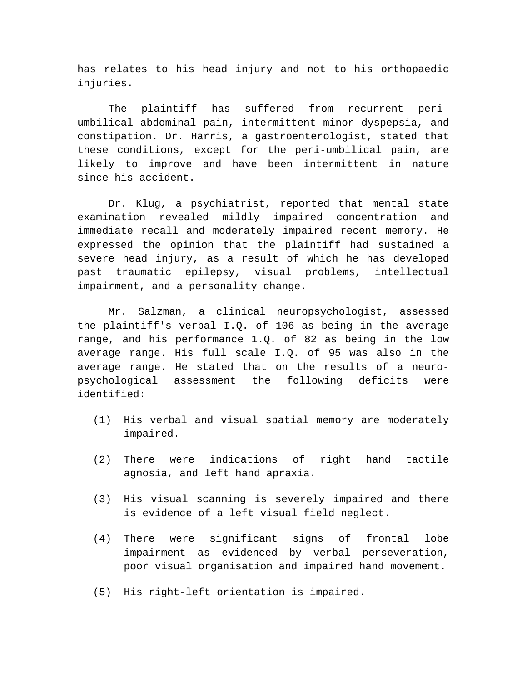has relates to his head injury and not to his orthopaedic injuries.

The plaintiff has suffered from recurrent periumbilical abdominal pain, intermittent minor dyspepsia, and constipation. Dr. Harris, a gastroenterologist, stated that these conditions, except for the peri-umbilical pain, are likely to improve and have been intermittent in nature since his accident.

Dr. Klug, a psychiatrist, reported that mental state examination revealed mildly impaired concentration and immediate recall and moderately impaired recent memory. He expressed the opinion that the plaintiff had sustained a severe head injury, as a result of which he has developed past traumatic epilepsy, visual problems, intellectual impairment, and a personality change.

Mr. Salzman, a clinical neuropsychologist, assessed the plaintiff's verbal I.Q. of 106 as being in the average range, and his performance 1.Q. of 82 as being in the low average range. His full scale I.Q. of 95 was also in the average range. He stated that on the results of a neuropsychological assessment the following deficits were identified:

- (1) His verbal and visual spatial memory are moderately impaired.
- (2) There were indications of right hand tactile agnosia, and left hand apraxia.
- (3) His visual scanning is severely impaired and there is evidence of a left visual field neglect.
- (4) There were significant signs of frontal lobe impairment as evidenced by verbal perseveration, poor visual organisation and impaired hand movement.
- (5) His right-left orientation is impaired.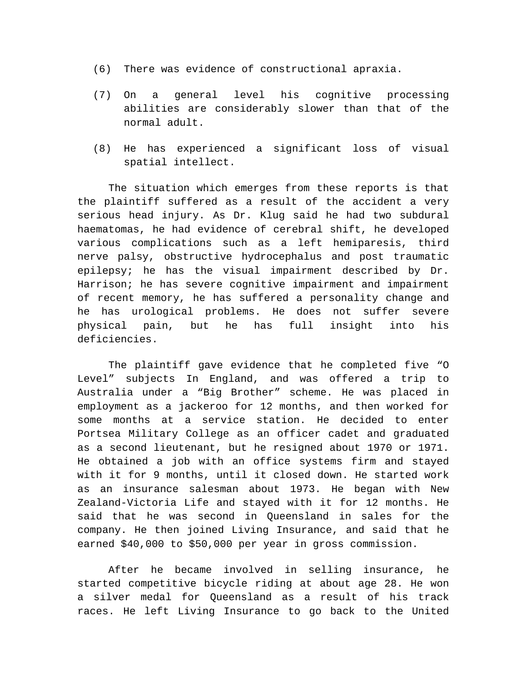- (6) There was evidence of constructional apraxia.
- (7) On a general level his cognitive processing abilities are considerably slower than that of the normal adult.
- (8) He has experienced a significant loss of visual spatial intellect.

The situation which emerges from these reports is that the plaintiff suffered as a result of the accident a very serious head injury. As Dr. Klug said he had two subdural haematomas, he had evidence of cerebral shift, he developed various complications such as a left hemiparesis, third nerve palsy, obstructive hydrocephalus and post traumatic epilepsy; he has the visual impairment described by Dr. Harrison; he has severe cognitive impairment and impairment of recent memory, he has suffered a personality change and he has urological problems. He does not suffer severe physical pain, but he has full insight into his deficiencies.

The plaintiff gave evidence that he completed five "O Level" subjects In England, and was offered a trip to Australia under a "Big Brother" scheme. He was placed in employment as a jackeroo for 12 months, and then worked for some months at a service station. He decided to enter Portsea Military College as an officer cadet and graduated as a second lieutenant, but he resigned about 1970 or 1971. He obtained a job with an office systems firm and stayed with it for 9 months, until it closed down. He started work as an insurance salesman about 1973. He began with New Zealand-Victoria Life and stayed with it for 12 months. He said that he was second in Queensland in sales for the company. He then joined Living Insurance, and said that he earned \$40,000 to \$50,000 per year in gross commission.

After he became involved in selling insurance, he started competitive bicycle riding at about age 28. He won a silver medal for Queensland as a result of his track races. He left Living Insurance to go back to the United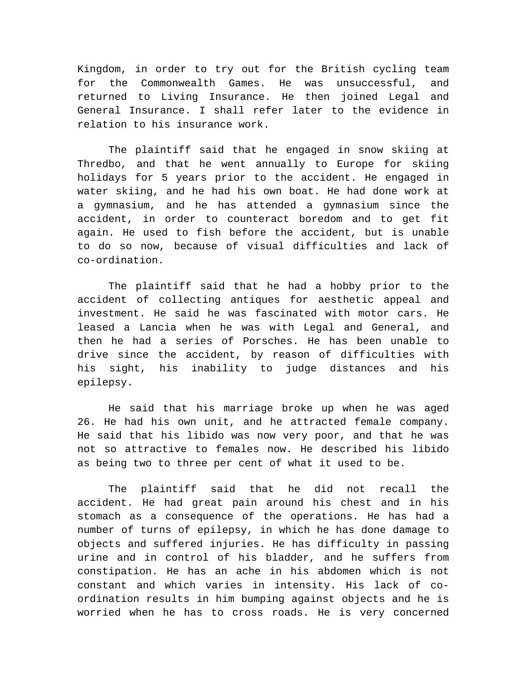Kingdom, in order to try out for the British cycling team for the Commonwealth Games. He was unsuccessful, and returned to Living Insurance. He then joined Legal and General Insurance. I shall refer later to the evidence in relation to his insurance work.

The plaintiff said that he engaged in snow skiing at Thredbo, and that he went annually to Europe for skiing holidays for 5 years prior to the accident. He engaged in water skiing, and he had his own boat. He had done work at a gymnasium, and he has attended a gymnasium since the accident, in order to counteract boredom and to get fit again. He used to fish before the accident, but is unable to do so now, because of visual difficulties and lack of co-ordination.

The plaintiff said that he had a hobby prior to the accident of collecting antiques for aesthetic appeal and investment. He said he was fascinated with motor cars. He leased a Lancia when he was with Legal and General, and then he had a series of Porsches. He has been unable to drive since the accident, by reason of difficulties with his sight, his inability to judge distances and his epilepsy.

He said that his marriage broke up when he was aged 26. He had his own unit, and he attracted female company. He said that his libido was now very poor, and that he was not so attractive to females now. He described his libido as being two to three per cent of what it used to be.

The plaintiff said that he did not recall the accident. He had great pain around his chest and in his stomach as a consequence of the operations. He has had a number of turns of epilepsy, in which he has done damage to objects and suffered injuries. He has difficulty in passing urine and in control of his bladder, and he suffers from constipation. He has an ache in his abdomen which is not constant and which varies in intensity. His lack of coordination results in him bumping against objects and he is worried when he has to cross roads. He is very concerned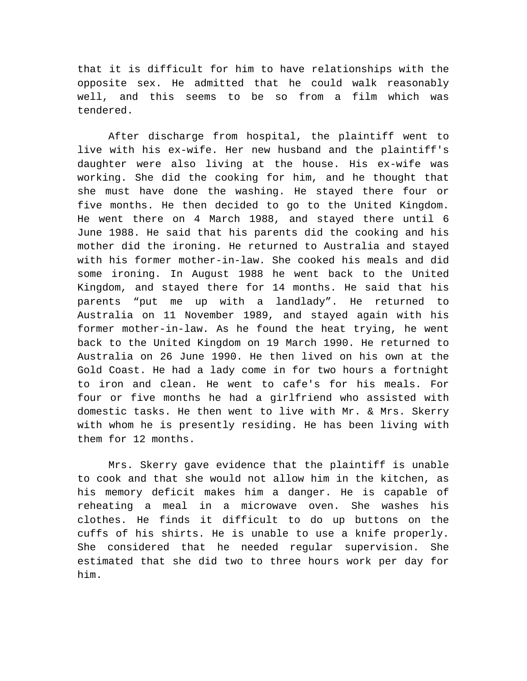that it is difficult for him to have relationships with the opposite sex. He admitted that he could walk reasonably well, and this seems to be so from a film which was tendered.

After discharge from hospital, the plaintiff went to live with his ex-wife. Her new husband and the plaintiff's daughter were also living at the house. His ex-wife was working. She did the cooking for him, and he thought that she must have done the washing. He stayed there four or five months. He then decided to go to the United Kingdom. He went there on 4 March 1988, and stayed there until 6 June 1988. He said that his parents did the cooking and his mother did the ironing. He returned to Australia and stayed with his former mother-in-law. She cooked his meals and did some ironing. In August 1988 he went back to the United Kingdom, and stayed there for 14 months. He said that his parents "put me up with a landlady". He returned to Australia on 11 November 1989, and stayed again with his former mother-in-law. As he found the heat trying, he went back to the United Kingdom on 19 March 1990. He returned to Australia on 26 June 1990. He then lived on his own at the Gold Coast. He had a lady come in for two hours a fortnight to iron and clean. He went to cafe's for his meals. For four or five months he had a girlfriend who assisted with domestic tasks. He then went to live with Mr. & Mrs. Skerry with whom he is presently residing. He has been living with them for 12 months.

Mrs. Skerry gave evidence that the plaintiff is unable to cook and that she would not allow him in the kitchen, as his memory deficit makes him a danger. He is capable of reheating a meal in a microwave oven. She washes his clothes. He finds it difficult to do up buttons on the cuffs of his shirts. He is unable to use a knife properly. She considered that he needed regular supervision. She estimated that she did two to three hours work per day for him.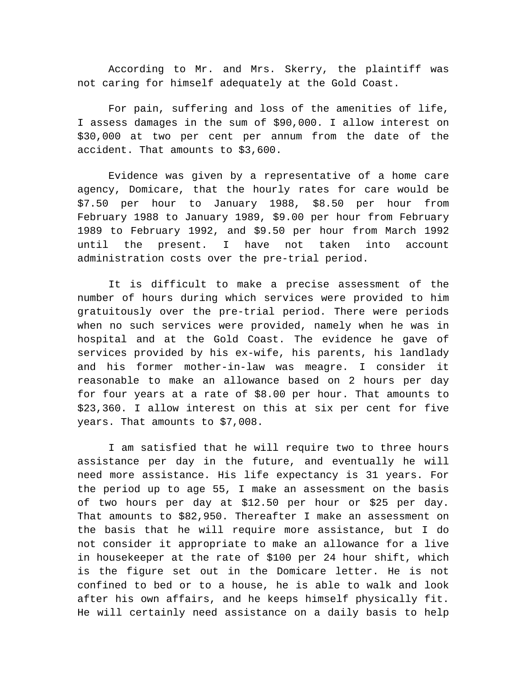According to Mr. and Mrs. Skerry, the plaintiff was not caring for himself adequately at the Gold Coast.

For pain, suffering and loss of the amenities of life, I assess damages in the sum of \$90,000. I allow interest on \$30,000 at two per cent per annum from the date of the accident. That amounts to \$3,600.

Evidence was given by a representative of a home care agency, Domicare, that the hourly rates for care would be \$7.50 per hour to January 1988, \$8.50 per hour from February 1988 to January 1989, \$9.00 per hour from February 1989 to February 1992, and \$9.50 per hour from March 1992 until the present. I have not taken into account administration costs over the pre-trial period.

It is difficult to make a precise assessment of the number of hours during which services were provided to him gratuitously over the pre-trial period. There were periods when no such services were provided, namely when he was in hospital and at the Gold Coast. The evidence he gave of services provided by his ex-wife, his parents, his landlady and his former mother-in-law was meagre. I consider it reasonable to make an allowance based on 2 hours per day for four years at a rate of \$8.00 per hour. That amounts to \$23,360. I allow interest on this at six per cent for five years. That amounts to \$7,008.

I am satisfied that he will require two to three hours assistance per day in the future, and eventually he will need more assistance. His life expectancy is 31 years. For the period up to age 55, I make an assessment on the basis of two hours per day at \$12.50 per hour or \$25 per day. That amounts to \$82,950. Thereafter I make an assessment on the basis that he will require more assistance, but I do not consider it appropriate to make an allowance for a live in housekeeper at the rate of \$100 per 24 hour shift, which is the figure set out in the Domicare letter. He is not confined to bed or to a house, he is able to walk and look after his own affairs, and he keeps himself physically fit. He will certainly need assistance on a daily basis to help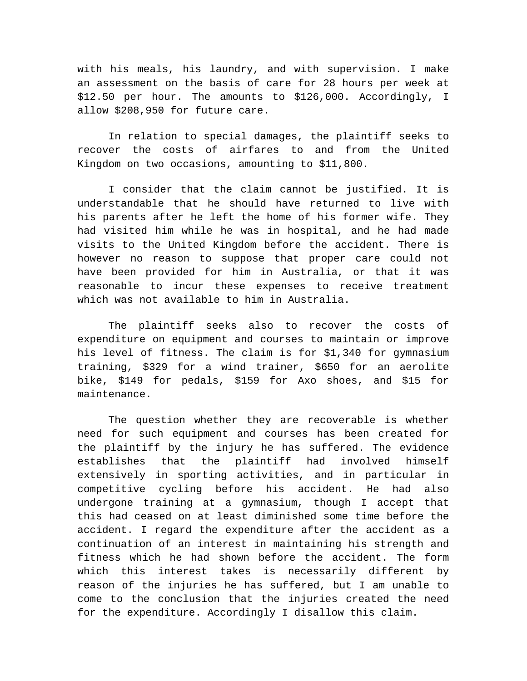with his meals, his laundry, and with supervision. I make an assessment on the basis of care for 28 hours per week at \$12.50 per hour. The amounts to \$126,000. Accordingly, I allow \$208,950 for future care.

In relation to special damages, the plaintiff seeks to recover the costs of airfares to and from the United Kingdom on two occasions, amounting to \$11,800.

I consider that the claim cannot be justified. It is understandable that he should have returned to live with his parents after he left the home of his former wife. They had visited him while he was in hospital, and he had made visits to the United Kingdom before the accident. There is however no reason to suppose that proper care could not have been provided for him in Australia, or that it was reasonable to incur these expenses to receive treatment which was not available to him in Australia.

The plaintiff seeks also to recover the costs of expenditure on equipment and courses to maintain or improve his level of fitness. The claim is for \$1,340 for gymnasium training, \$329 for a wind trainer, \$650 for an aerolite bike, \$149 for pedals, \$159 for Axo shoes, and \$15 for maintenance.

The question whether they are recoverable is whether need for such equipment and courses has been created for the plaintiff by the injury he has suffered. The evidence establishes that the plaintiff had involved himself extensively in sporting activities, and in particular in competitive cycling before his accident. He had also undergone training at a gymnasium, though I accept that this had ceased on at least diminished some time before the accident. I regard the expenditure after the accident as a continuation of an interest in maintaining his strength and fitness which he had shown before the accident. The form which this interest takes is necessarily different by reason of the injuries he has suffered, but I am unable to come to the conclusion that the injuries created the need for the expenditure. Accordingly I disallow this claim.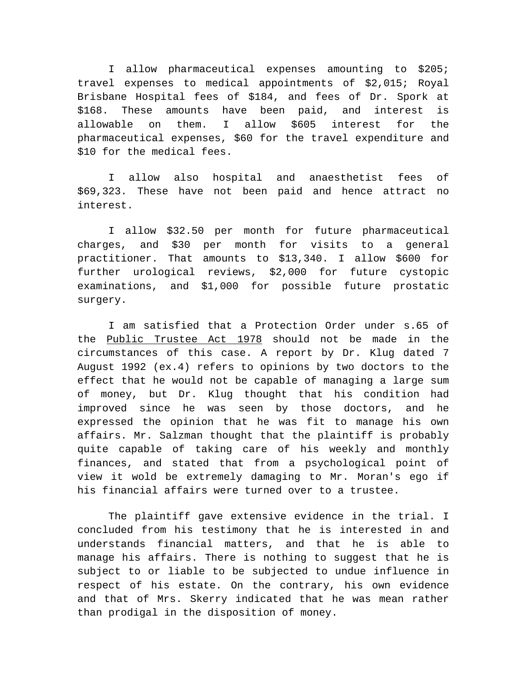I allow pharmaceutical expenses amounting to \$205; travel expenses to medical appointments of \$2,015; Royal Brisbane Hospital fees of \$184, and fees of Dr. Spork at \$168. These amounts have been paid, and interest is allowable on them. I allow \$605 interest for the pharmaceutical expenses, \$60 for the travel expenditure and \$10 for the medical fees.

I allow also hospital and anaesthetist fees of \$69,323. These have not been paid and hence attract no interest.

I allow \$32.50 per month for future pharmaceutical charges, and \$30 per month for visits to a general practitioner. That amounts to \$13,340. I allow \$600 for further urological reviews, \$2,000 for future cystopic examinations, and \$1,000 for possible future prostatic surgery.

I am satisfied that a Protection Order under s.65 of the Public Trustee Act 1978 should not be made in the circumstances of this case. A report by Dr. Klug dated 7 August 1992 (ex.4) refers to opinions by two doctors to the effect that he would not be capable of managing a large sum of money, but Dr. Klug thought that his condition had improved since he was seen by those doctors, and he expressed the opinion that he was fit to manage his own affairs. Mr. Salzman thought that the plaintiff is probably quite capable of taking care of his weekly and monthly finances, and stated that from a psychological point of view it wold be extremely damaging to Mr. Moran's ego if his financial affairs were turned over to a trustee.

The plaintiff gave extensive evidence in the trial. I concluded from his testimony that he is interested in and understands financial matters, and that he is able to manage his affairs. There is nothing to suggest that he is subject to or liable to be subjected to undue influence in respect of his estate. On the contrary, his own evidence and that of Mrs. Skerry indicated that he was mean rather than prodigal in the disposition of money.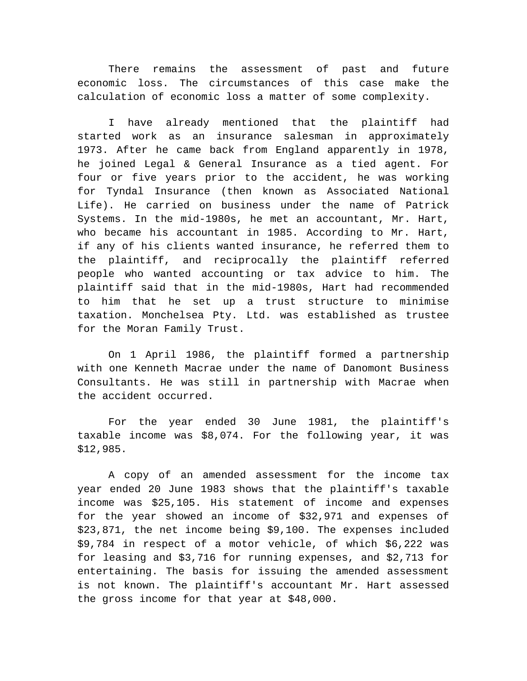There remains the assessment of past and future economic loss. The circumstances of this case make the calculation of economic loss a matter of some complexity.

I have already mentioned that the plaintiff had started work as an insurance salesman in approximately 1973. After he came back from England apparently in 1978, he joined Legal & General Insurance as a tied agent. For four or five years prior to the accident, he was working for Tyndal Insurance (then known as Associated National Life). He carried on business under the name of Patrick Systems. In the mid-1980s, he met an accountant, Mr. Hart, who became his accountant in 1985. According to Mr. Hart, if any of his clients wanted insurance, he referred them to the plaintiff, and reciprocally the plaintiff referred people who wanted accounting or tax advice to him. The plaintiff said that in the mid-1980s, Hart had recommended to him that he set up a trust structure to minimise taxation. Monchelsea Pty. Ltd. was established as trustee for the Moran Family Trust.

On 1 April 1986, the plaintiff formed a partnership with one Kenneth Macrae under the name of Danomont Business Consultants. He was still in partnership with Macrae when the accident occurred.

For the year ended 30 June 1981, the plaintiff's taxable income was \$8,074. For the following year, it was \$12,985.

A copy of an amended assessment for the income tax year ended 20 June 1983 shows that the plaintiff's taxable income was \$25,105. His statement of income and expenses for the year showed an income of \$32,971 and expenses of \$23,871, the net income being \$9,100. The expenses included \$9,784 in respect of a motor vehicle, of which \$6,222 was for leasing and \$3,716 for running expenses, and \$2,713 for entertaining. The basis for issuing the amended assessment is not known. The plaintiff's accountant Mr. Hart assessed the gross income for that year at \$48,000.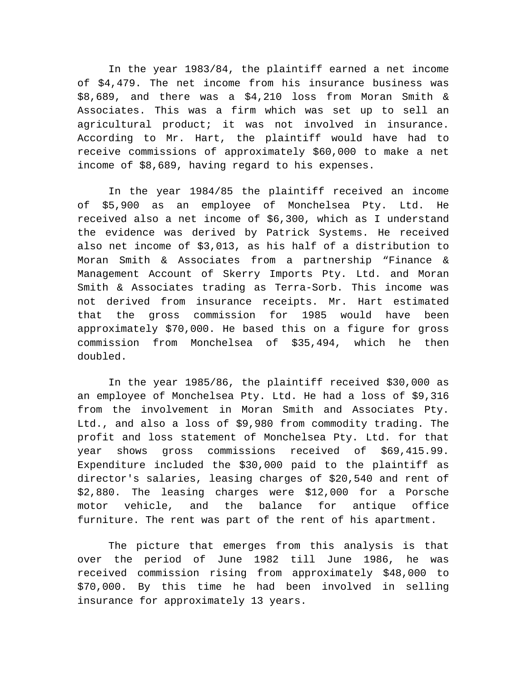In the year 1983/84, the plaintiff earned a net income of \$4,479. The net income from his insurance business was \$8,689, and there was a \$4,210 loss from Moran Smith & Associates. This was a firm which was set up to sell an agricultural product; it was not involved in insurance. According to Mr. Hart, the plaintiff would have had to receive commissions of approximately \$60,000 to make a net income of \$8,689, having regard to his expenses.

In the year 1984/85 the plaintiff received an income of \$5,900 as an employee of Monchelsea Pty. Ltd. He received also a net income of \$6,300, which as I understand the evidence was derived by Patrick Systems. He received also net income of \$3,013, as his half of a distribution to Moran Smith & Associates from a partnership "Finance & Management Account of Skerry Imports Pty. Ltd. and Moran Smith & Associates trading as Terra-Sorb. This income was not derived from insurance receipts. Mr. Hart estimated that the gross commission for 1985 would have been approximately \$70,000. He based this on a figure for gross commission from Monchelsea of \$35,494, which he then doubled.

In the year 1985/86, the plaintiff received \$30,000 as an employee of Monchelsea Pty. Ltd. He had a loss of \$9,316 from the involvement in Moran Smith and Associates Pty. Ltd., and also a loss of \$9,980 from commodity trading. The profit and loss statement of Monchelsea Pty. Ltd. for that year shows gross commissions received of \$69,415.99. Expenditure included the \$30,000 paid to the plaintiff as director's salaries, leasing charges of \$20,540 and rent of \$2,880. The leasing charges were \$12,000 for a Porsche motor vehicle, and the balance for antique office furniture. The rent was part of the rent of his apartment.

The picture that emerges from this analysis is that over the period of June 1982 till June 1986, he was received commission rising from approximately \$48,000 to \$70,000. By this time he had been involved in selling insurance for approximately 13 years.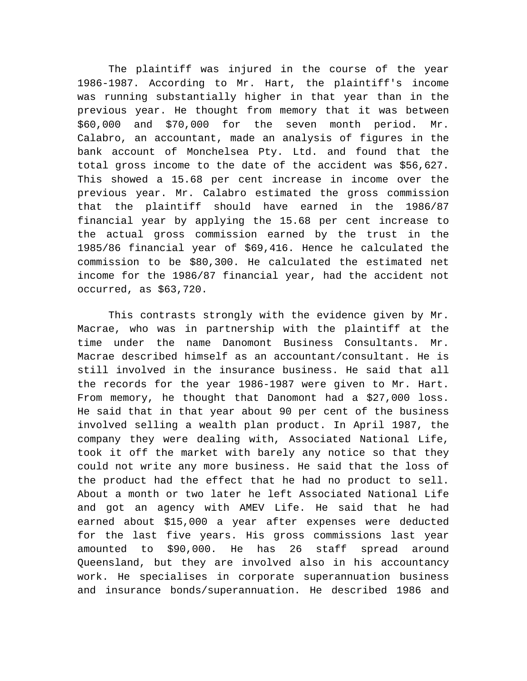The plaintiff was injured in the course of the year 1986-1987. According to Mr. Hart, the plaintiff's income was running substantially higher in that year than in the previous year. He thought from memory that it was between \$60,000 and \$70,000 for the seven month period. Mr. Calabro, an accountant, made an analysis of figures in the bank account of Monchelsea Pty. Ltd. and found that the total gross income to the date of the accident was \$56,627. This showed a 15.68 per cent increase in income over the previous year. Mr. Calabro estimated the gross commission that the plaintiff should have earned in the 1986/87 financial year by applying the 15.68 per cent increase to the actual gross commission earned by the trust in the 1985/86 financial year of \$69,416. Hence he calculated the commission to be \$80,300. He calculated the estimated net income for the 1986/87 financial year, had the accident not occurred, as \$63,720.

This contrasts strongly with the evidence given by Mr. Macrae, who was in partnership with the plaintiff at the time under the name Danomont Business Consultants. Mr. Macrae described himself as an accountant/consultant. He is still involved in the insurance business. He said that all the records for the year 1986-1987 were given to Mr. Hart. From memory, he thought that Danomont had a \$27,000 loss. He said that in that year about 90 per cent of the business involved selling a wealth plan product. In April 1987, the company they were dealing with, Associated National Life, took it off the market with barely any notice so that they could not write any more business. He said that the loss of the product had the effect that he had no product to sell. About a month or two later he left Associated National Life and got an agency with AMEV Life. He said that he had earned about \$15,000 a year after expenses were deducted for the last five years. His gross commissions last year amounted to \$90,000. He has 26 staff spread around Queensland, but they are involved also in his accountancy work. He specialises in corporate superannuation business and insurance bonds/superannuation. He described 1986 and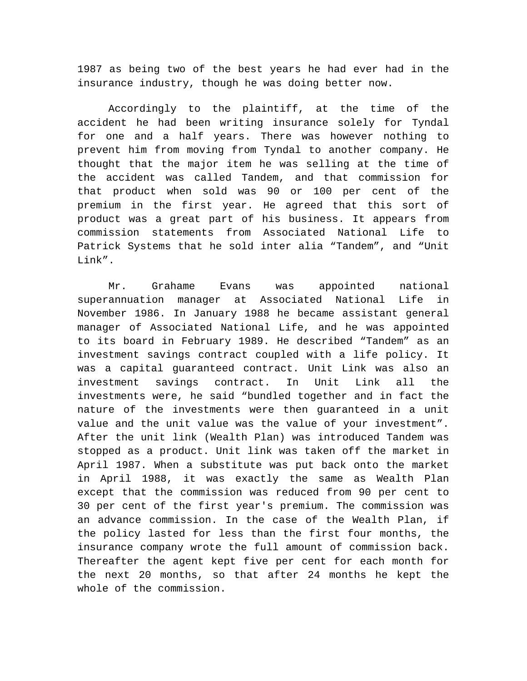1987 as being two of the best years he had ever had in the insurance industry, though he was doing better now.

Accordingly to the plaintiff, at the time of the accident he had been writing insurance solely for Tyndal for one and a half years. There was however nothing to prevent him from moving from Tyndal to another company. He thought that the major item he was selling at the time of the accident was called Tandem, and that commission for that product when sold was 90 or 100 per cent of the premium in the first year. He agreed that this sort of product was a great part of his business. It appears from commission statements from Associated National Life to Patrick Systems that he sold inter alia "Tandem", and "Unit Link".

Mr. Grahame Evans was appointed national superannuation manager at Associated National Life in November 1986. In January 1988 he became assistant general manager of Associated National Life, and he was appointed to its board in February 1989. He described "Tandem" as an investment savings contract coupled with a life policy. It was a capital guaranteed contract. Unit Link was also an investment savings contract. In Unit Link all the investments were, he said "bundled together and in fact the nature of the investments were then guaranteed in a unit value and the unit value was the value of your investment". After the unit link (Wealth Plan) was introduced Tandem was stopped as a product. Unit link was taken off the market in April 1987. When a substitute was put back onto the market in April 1988, it was exactly the same as Wealth Plan except that the commission was reduced from 90 per cent to 30 per cent of the first year's premium. The commission was an advance commission. In the case of the Wealth Plan, if the policy lasted for less than the first four months, the insurance company wrote the full amount of commission back. Thereafter the agent kept five per cent for each month for the next 20 months, so that after 24 months he kept the whole of the commission.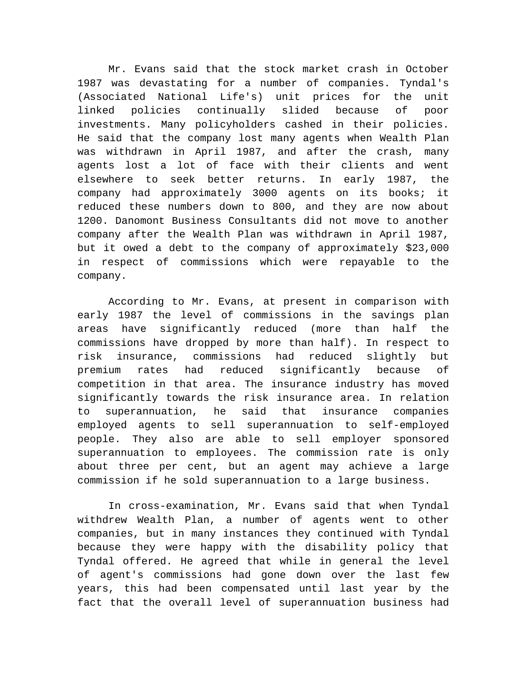Mr. Evans said that the stock market crash in October 1987 was devastating for a number of companies. Tyndal's (Associated National Life's) unit prices for the unit linked policies continually slided because of poor investments. Many policyholders cashed in their policies. He said that the company lost many agents when Wealth Plan was withdrawn in April 1987, and after the crash, many agents lost a lot of face with their clients and went elsewhere to seek better returns. In early 1987, the company had approximately 3000 agents on its books; it reduced these numbers down to 800, and they are now about 1200. Danomont Business Consultants did not move to another company after the Wealth Plan was withdrawn in April 1987, but it owed a debt to the company of approximately \$23,000 in respect of commissions which were repayable to the company.

According to Mr. Evans, at present in comparison with early 1987 the level of commissions in the savings plan areas have significantly reduced (more than half the commissions have dropped by more than half). In respect to risk insurance, commissions had reduced slightly but premium rates had reduced significantly because of competition in that area. The insurance industry has moved significantly towards the risk insurance area. In relation to superannuation, he said that insurance companies employed agents to sell superannuation to self-employed people. They also are able to sell employer sponsored superannuation to employees. The commission rate is only about three per cent, but an agent may achieve a large commission if he sold superannuation to a large business.

In cross-examination, Mr. Evans said that when Tyndal withdrew Wealth Plan, a number of agents went to other companies, but in many instances they continued with Tyndal because they were happy with the disability policy that Tyndal offered. He agreed that while in general the level of agent's commissions had gone down over the last few years, this had been compensated until last year by the fact that the overall level of superannuation business had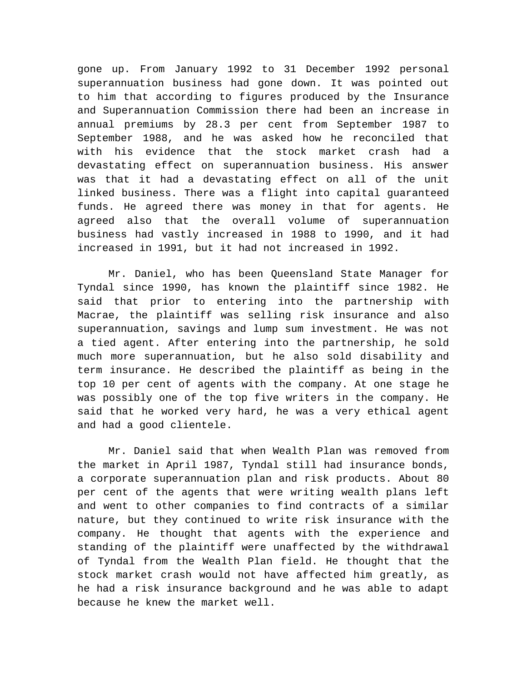gone up. From January 1992 to 31 December 1992 personal superannuation business had gone down. It was pointed out to him that according to figures produced by the Insurance and Superannuation Commission there had been an increase in annual premiums by 28.3 per cent from September 1987 to September 1988, and he was asked how he reconciled that with his evidence that the stock market crash had a devastating effect on superannuation business. His answer was that it had a devastating effect on all of the unit linked business. There was a flight into capital guaranteed funds. He agreed there was money in that for agents. He agreed also that the overall volume of superannuation business had vastly increased in 1988 to 1990, and it had increased in 1991, but it had not increased in 1992.

Mr. Daniel, who has been Queensland State Manager for Tyndal since 1990, has known the plaintiff since 1982. He said that prior to entering into the partnership with Macrae, the plaintiff was selling risk insurance and also superannuation, savings and lump sum investment. He was not a tied agent. After entering into the partnership, he sold much more superannuation, but he also sold disability and term insurance. He described the plaintiff as being in the top 10 per cent of agents with the company. At one stage he was possibly one of the top five writers in the company. He said that he worked very hard, he was a very ethical agent and had a good clientele.

Mr. Daniel said that when Wealth Plan was removed from the market in April 1987, Tyndal still had insurance bonds, a corporate superannuation plan and risk products. About 80 per cent of the agents that were writing wealth plans left and went to other companies to find contracts of a similar nature, but they continued to write risk insurance with the company. He thought that agents with the experience and standing of the plaintiff were unaffected by the withdrawal of Tyndal from the Wealth Plan field. He thought that the stock market crash would not have affected him greatly, as he had a risk insurance background and he was able to adapt because he knew the market well.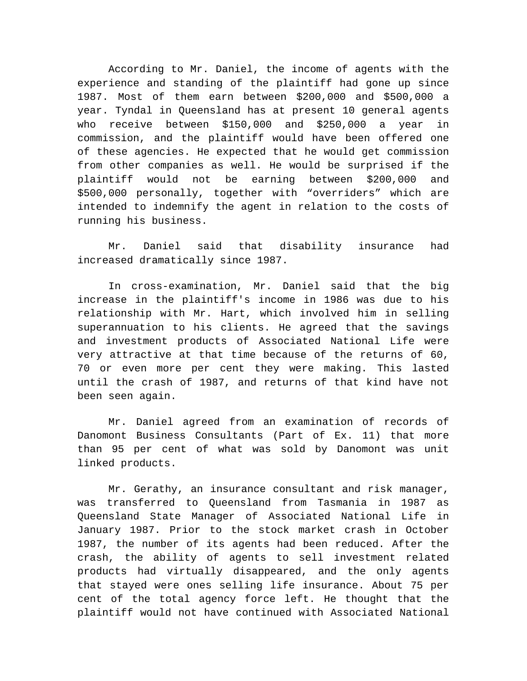According to Mr. Daniel, the income of agents with the experience and standing of the plaintiff had gone up since 1987. Most of them earn between \$200,000 and \$500,000 a year. Tyndal in Queensland has at present 10 general agents who receive between \$150,000 and \$250,000 a year in commission, and the plaintiff would have been offered one of these agencies. He expected that he would get commission from other companies as well. He would be surprised if the plaintiff would not be earning between \$200,000 and \$500,000 personally, together with "overriders" which are intended to indemnify the agent in relation to the costs of running his business.

Mr. Daniel said that disability insurance had increased dramatically since 1987.

In cross-examination, Mr. Daniel said that the big increase in the plaintiff's income in 1986 was due to his relationship with Mr. Hart, which involved him in selling superannuation to his clients. He agreed that the savings and investment products of Associated National Life were very attractive at that time because of the returns of 60, 70 or even more per cent they were making. This lasted until the crash of 1987, and returns of that kind have not been seen again.

Mr. Daniel agreed from an examination of records of Danomont Business Consultants (Part of Ex. 11) that more than 95 per cent of what was sold by Danomont was unit linked products.

Mr. Gerathy, an insurance consultant and risk manager, was transferred to Queensland from Tasmania in 1987 as Queensland State Manager of Associated National Life in January 1987. Prior to the stock market crash in October 1987, the number of its agents had been reduced. After the crash, the ability of agents to sell investment related products had virtually disappeared, and the only agents that stayed were ones selling life insurance. About 75 per cent of the total agency force left. He thought that the plaintiff would not have continued with Associated National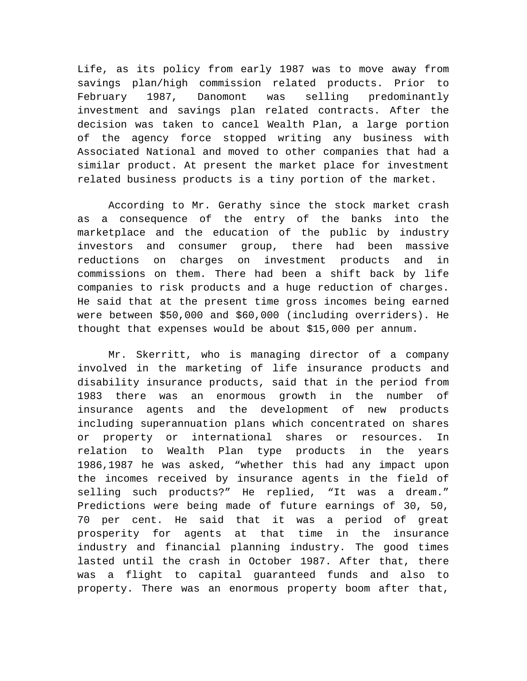Life, as its policy from early 1987 was to move away from savings plan/high commission related products. Prior to February 1987, Danomont was selling predominantly investment and savings plan related contracts. After the decision was taken to cancel Wealth Plan, a large portion of the agency force stopped writing any business with Associated National and moved to other companies that had a similar product. At present the market place for investment related business products is a tiny portion of the market.

According to Mr. Gerathy since the stock market crash as a consequence of the entry of the banks into the marketplace and the education of the public by industry investors and consumer group, there had been massive reductions on charges on investment products and in commissions on them. There had been a shift back by life companies to risk products and a huge reduction of charges. He said that at the present time gross incomes being earned were between \$50,000 and \$60,000 (including overriders). He thought that expenses would be about \$15,000 per annum.

Mr. Skerritt, who is managing director of a company involved in the marketing of life insurance products and disability insurance products, said that in the period from 1983 there was an enormous growth in the number of insurance agents and the development of new products including superannuation plans which concentrated on shares or property or international shares or resources. In relation to Wealth Plan type products in the years 1986,1987 he was asked, "whether this had any impact upon the incomes received by insurance agents in the field of selling such products?" He replied, "It was a dream." Predictions were being made of future earnings of 30, 50, 70 per cent. He said that it was a period of great prosperity for agents at that time in the insurance industry and financial planning industry. The good times lasted until the crash in October 1987. After that, there was a flight to capital guaranteed funds and also to property. There was an enormous property boom after that,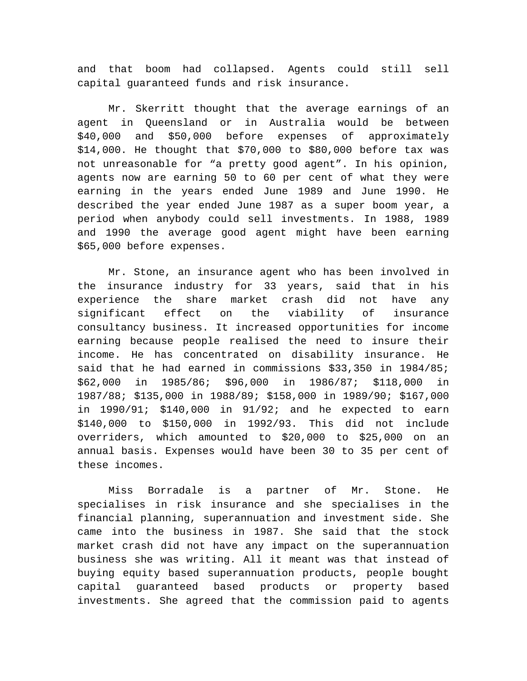and that boom had collapsed. Agents could still sell capital guaranteed funds and risk insurance.

Mr. Skerritt thought that the average earnings of an agent in Queensland or in Australia would be between \$40,000 and \$50,000 before expenses of approximately \$14,000. He thought that \$70,000 to \$80,000 before tax was not unreasonable for "a pretty good agent". In his opinion, agents now are earning 50 to 60 per cent of what they were earning in the years ended June 1989 and June 1990. He described the year ended June 1987 as a super boom year, a period when anybody could sell investments. In 1988, 1989 and 1990 the average good agent might have been earning \$65,000 before expenses.

Mr. Stone, an insurance agent who has been involved in the insurance industry for 33 years, said that in his experience the share market crash did not have any significant effect on the viability of insurance consultancy business. It increased opportunities for income earning because people realised the need to insure their income. He has concentrated on disability insurance. He said that he had earned in commissions \$33,350 in 1984/85; \$62,000 in 1985/86; \$96,000 in 1986/87; \$118,000 in 1987/88; \$135,000 in 1988/89; \$158,000 in 1989/90; \$167,000 in 1990/91; \$140,000 in 91/92; and he expected to earn \$140,000 to \$150,000 in 1992/93. This did not include overriders, which amounted to \$20,000 to \$25,000 on an annual basis. Expenses would have been 30 to 35 per cent of these incomes.

Miss Borradale is a partner of Mr. Stone. He specialises in risk insurance and she specialises in the financial planning, superannuation and investment side. She came into the business in 1987. She said that the stock market crash did not have any impact on the superannuation business she was writing. All it meant was that instead of buying equity based superannuation products, people bought capital guaranteed based products or property based investments. She agreed that the commission paid to agents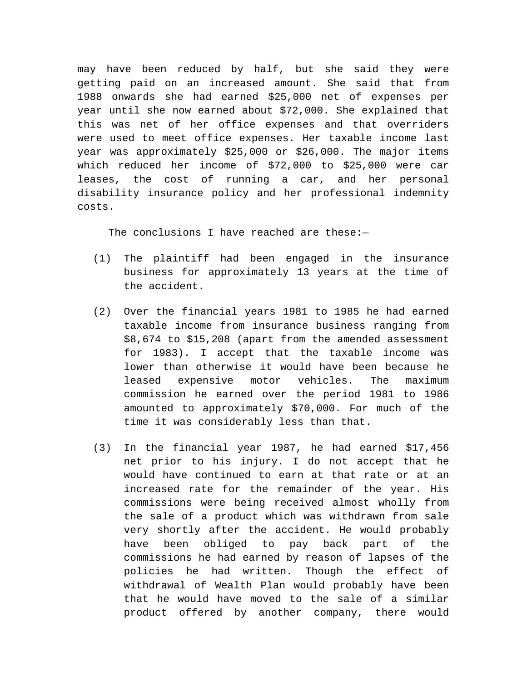may have been reduced by half, but she said they were getting paid on an increased amount. She said that from 1988 onwards she had earned \$25,000 net of expenses per year until she now earned about \$72,000. She explained that this was net of her office expenses and that overriders were used to meet office expenses. Her taxable income last year was approximately \$25,000 or \$26,000. The major items which reduced her income of \$72,000 to \$25,000 were car leases, the cost of running a car, and her personal disability insurance policy and her professional indemnity costs.

The conclusions I have reached are these:-

- (1) The plaintiff had been engaged in the insurance business for approximately 13 years at the time of the accident.
- (2) Over the financial years 1981 to 1985 he had earned taxable income from insurance business ranging from \$8,674 to \$15,208 (apart from the amended assessment for 1983). I accept that the taxable income was lower than otherwise it would have been because he leased expensive motor vehicles. The maximum commission he earned over the period 1981 to 1986 amounted to approximately \$70,000. For much of the time it was considerably less than that.
- (3) In the financial year 1987, he had earned \$17,456 net prior to his injury. I do not accept that he would have continued to earn at that rate or at an increased rate for the remainder of the year. His commissions were being received almost wholly from the sale of a product which was withdrawn from sale very shortly after the accident. He would probably have been obliged to pay back part of the commissions he had earned by reason of lapses of the policies he had written. Though the effect of withdrawal of Wealth Plan would probably have been that he would have moved to the sale of a similar product offered by another company, there would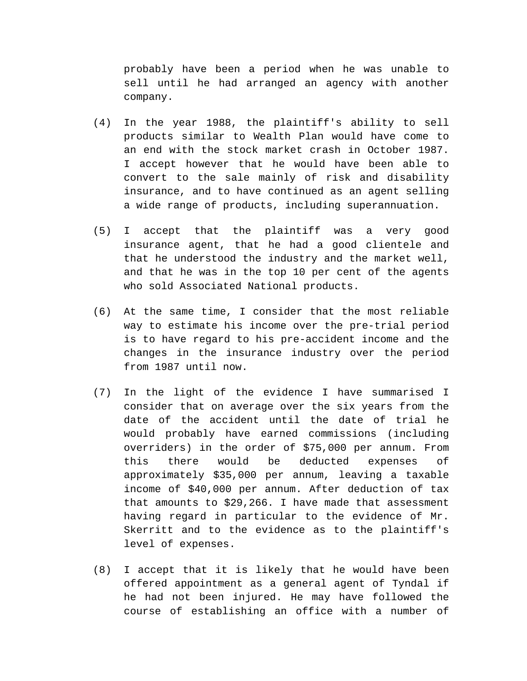probably have been a period when he was unable to sell until he had arranged an agency with another company.

- (4) In the year 1988, the plaintiff's ability to sell products similar to Wealth Plan would have come to an end with the stock market crash in October 1987. I accept however that he would have been able to convert to the sale mainly of risk and disability insurance, and to have continued as an agent selling a wide range of products, including superannuation.
- (5) I accept that the plaintiff was a very good insurance agent, that he had a good clientele and that he understood the industry and the market well, and that he was in the top 10 per cent of the agents who sold Associated National products.
- (6) At the same time, I consider that the most reliable way to estimate his income over the pre-trial period is to have regard to his pre-accident income and the changes in the insurance industry over the period from 1987 until now.
- (7) In the light of the evidence I have summarised I consider that on average over the six years from the date of the accident until the date of trial he would probably have earned commissions (including overriders) in the order of \$75,000 per annum. From this there would be deducted expenses of approximately \$35,000 per annum, leaving a taxable income of \$40,000 per annum. After deduction of tax that amounts to \$29,266. I have made that assessment having regard in particular to the evidence of Mr. Skerritt and to the evidence as to the plaintiff's level of expenses.
- (8) I accept that it is likely that he would have been offered appointment as a general agent of Tyndal if he had not been injured. He may have followed the course of establishing an office with a number of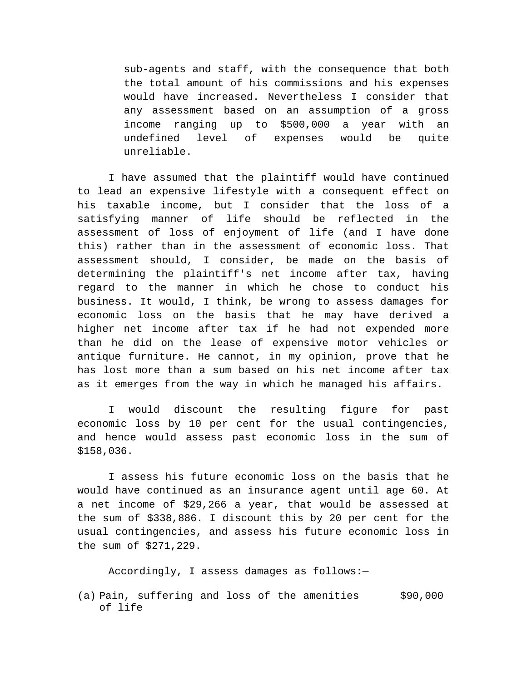sub-agents and staff, with the consequence that both the total amount of his commissions and his expenses would have increased. Nevertheless I consider that any assessment based on an assumption of a gross income ranging up to \$500,000 a year with an undefined level of expenses would be quite unreliable.

I have assumed that the plaintiff would have continued to lead an expensive lifestyle with a consequent effect on his taxable income, but I consider that the loss of a satisfying manner of life should be reflected in the assessment of loss of enjoyment of life (and I have done this) rather than in the assessment of economic loss. That assessment should, I consider, be made on the basis of determining the plaintiff's net income after tax, having regard to the manner in which he chose to conduct his business. It would, I think, be wrong to assess damages for economic loss on the basis that he may have derived a higher net income after tax if he had not expended more than he did on the lease of expensive motor vehicles or antique furniture. He cannot, in my opinion, prove that he has lost more than a sum based on his net income after tax as it emerges from the way in which he managed his affairs.

I would discount the resulting figure for past economic loss by 10 per cent for the usual contingencies, and hence would assess past economic loss in the sum of \$158,036.

I assess his future economic loss on the basis that he would have continued as an insurance agent until age 60. At a net income of \$29,266 a year, that would be assessed at the sum of \$338,886. I discount this by 20 per cent for the usual contingencies, and assess his future economic loss in the sum of \$271,229.

Accordingly, I assess damages as follows:—

(a) Pain, suffering and loss of the amenities of life \$90,000